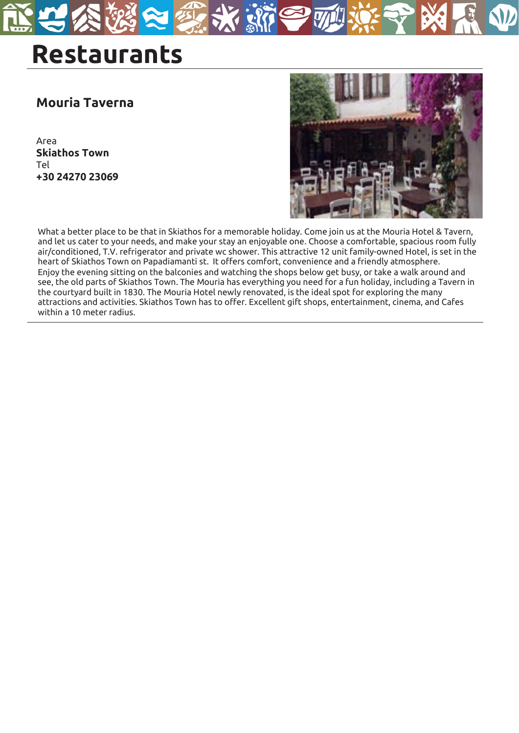# **Restaurants**

#### **Mouria Taverna**

Area **Skiathos Town** Tel **+30 24270 23069**



What a better place to be that in Skiathos for a memorable holiday. Come join us at the Mouria Hotel & Tavern, and let us cater to your needs, and make your stay an enjoyable one. Choose a comfortable, spacious room fully air/conditioned, T.V. refrigerator and private wc shower. This attractive 12 unit family-owned Hotel, is set in the heart of Skiathos Town on Papadiamanti st. It offers comfort, convenience and a friendly atmosphere. Enjoy the evening sitting on the balconies and watching the shops below get busy, or take a walk around and see, the old parts of Skiathos Town. The Mouria has everything you need for a fun holiday, including a Tavern in the courtyard built in 1830. The Mouria Hotel newly renovated, is the ideal spot for exploring the many attractions and activities. Skiathos Town has to offer. Excellent gift shops, entertainment, cinema, and Cafes within a 10 meter radius.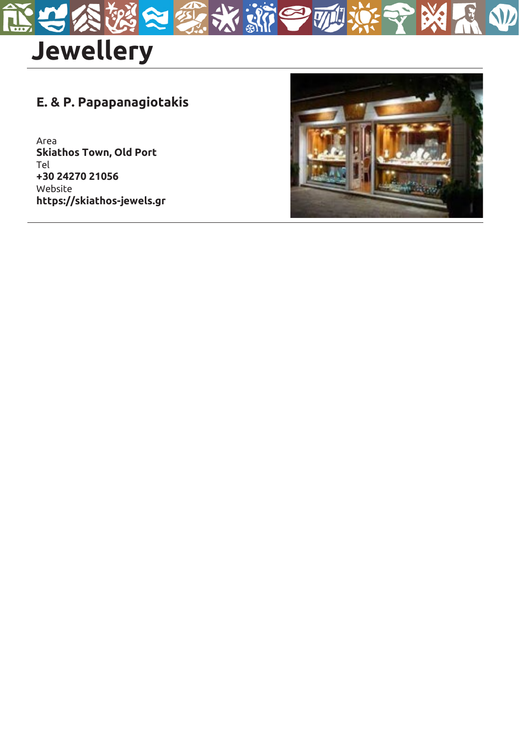

### **E. & P. Papapanagiotakis**

Area **Skiathos Town, Old Port** Tel **+30 24270 21056** Website **https://skiathos-jewels.gr** 



 $\bullet$ 

 $\overline{\mathbb{W}}$ 

r sl

W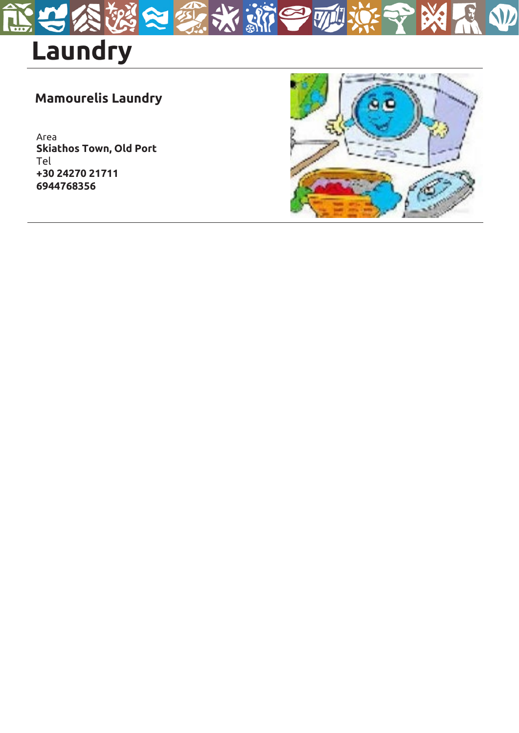

## **Mamourelis Laundry**

r si

 $\boldsymbol{\nabla}$ 

Area **Skiathos Town, Old Port** Tel **+30 24270 21711 6944768356**



W